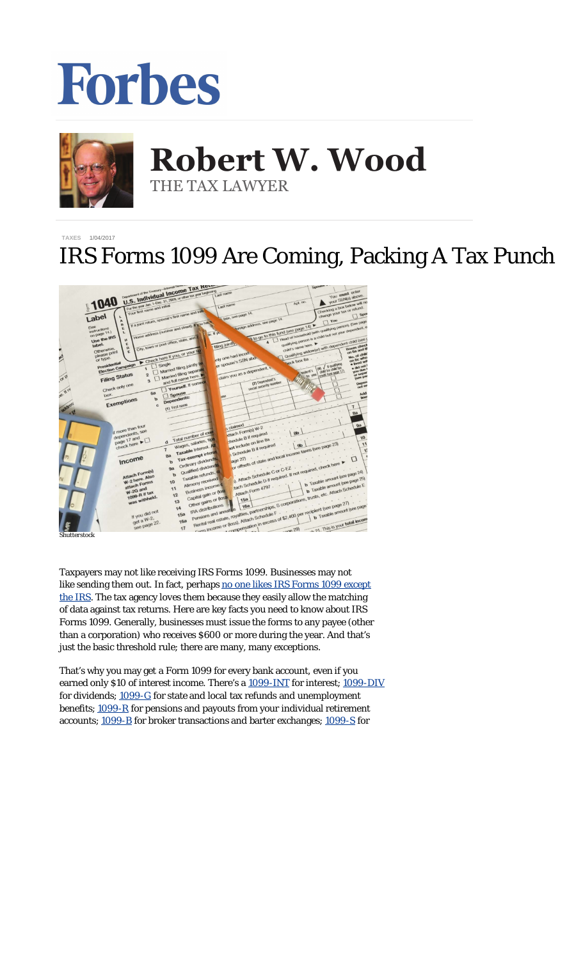## Forbes



## **Robert W. Wood Robert W. Wood** THE TAX LAWYER THE TAX LAWYER

## **[TAXES](http://www.forbes.com/taxes)** 1/04/2017

## IRS Forms 1099 Are Coming, Packing A Tax Punch



*Shutterstock*

Taxpayers may not like receiving IRS Forms 1099. Businesses may not like sending them out. In fact, perhaps [no one likes IRS Forms 1099 except](http://www.forbes.com/sites/robertwood/2015/01/21/why-irs-form-1099-is-so-dangerous-to-your-tax-bill/) [the IRS](http://www.forbes.com/sites/robertwood/2015/01/21/why-irs-form-1099-is-so-dangerous-to-your-tax-bill/). The tax agency *loves* them because they easily allow the matching of data against tax returns. Here are key facts you need to know about IRS Forms 1099. Generally, businesses must issue the forms to any payee (other than a corporation) who receives \$600 or more during the year. And that's just the basic threshold rule; there are many, many exceptions.

That's why you may get a Form 1099 for every bank account, even if you earned only \$10 of interest income. There's a [1099-INT](http://www.irs.gov/pub/irs-pdf/f1099int.pdf) for interest; [1099-DIV](http://www.irs.gov/pub/irs-pdf/f1099div.pdf) for dividends; [1099-G](http://www.irs.gov/pub/irs-pdf/f1099g.pdf) for state and local tax refunds and unemployment benefits; [1099-R](http://www.irs.gov/pub/irs-pdf/f1099r.pdf) for pensions and payouts from your individual retirement accounts; [1099-B](http://www.irs.gov/pub/irs-pdf/f1099b.pdf) for broker transactions and barter exchanges; [1099-S](http://www.irs.gov/pub/irs-pdf/f1099s.pdf) for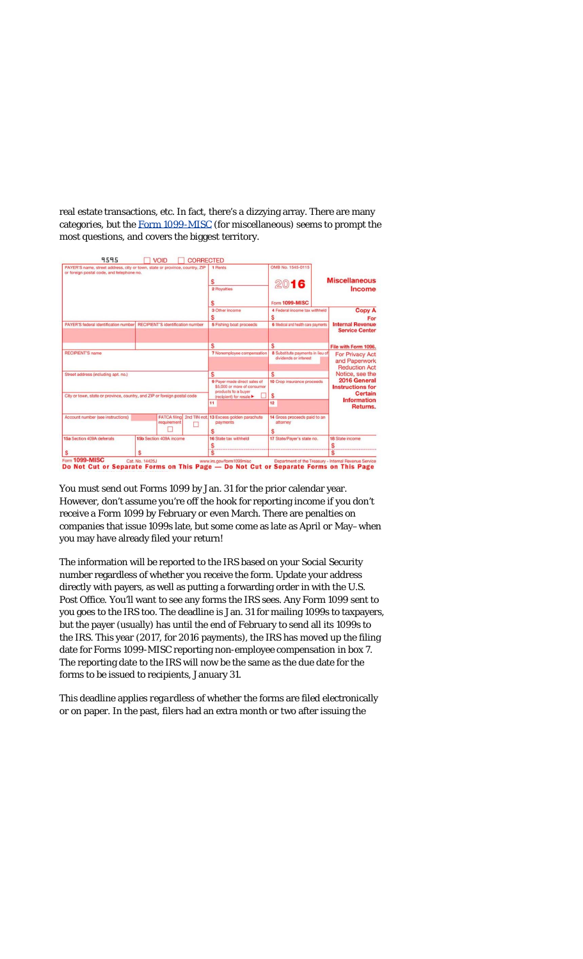real estate transactions, etc. In fact, there's a dizzying array. There are many categories, but the [Form 1099-MISC](http://www.irs.gov/pub/irs-pdf/f1099msc.pdf) (for miscellaneous) seems to prompt the most questions, and covers the biggest territory.



You must send out Forms 1099 by Jan. 31 for the prior calendar year. However, don't assume you're off the hook for reporting income if you don't receive a Form 1099 by February or even March. There are penalties on companies that issue 1099s late, but some come as late as April or May–when you may have already filed your return!

The information will be reported to the IRS based on your Social Security number regardless of whether you receive the form. Update your address directly with payers, as well as putting a forwarding order in with the U.S. Post Office. You'll want to see any forms the IRS sees. Any Form 1099 sent to you goes to the IRS too. The deadline is Jan. 31 for mailing 1099s to taxpayers, but the payer (usually) has until the end of February to send all its 1099s to the IRS. This year (2017, for 2016 payments), the IRS has moved up the filing date for Forms 1099-MISC reporting non-employee compensation in box 7. The reporting date to the IRS will now be the same as the due date for the forms to be issued to recipients, January 31.

This deadline applies *regardless* of whether the forms are filed electronically or on paper. In the past, filers had an extra month or two after issuing the